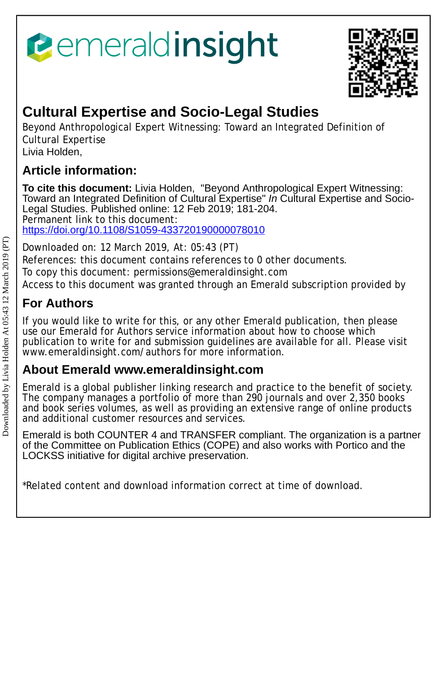# **Pemeraldinsight**



# **Cultural Expertise and Socio-Legal Studies**

Beyond Anthropological Expert Witnessing: Toward an Integrated Definition of Cultural Expertise Livia Holden,

# **Article information:**

**To cite this document:** Livia Holden, "Beyond Anthropological Expert Witnessing: Toward an Integrated Definition of Cultural Expertise" *In* Cultural Expertise and Socio-Legal Studies. Published online: 12 Feb 2019; 181-204. Permanent link to this document: <https://doi.org/10.1108/S1059-433720190000078010>

Downloaded on: 12 March 2019, At: 05:43 (PT) References: this document contains references to 0 other documents. To copy this document: permissions@emeraldinsight.com Access to this document was granted through an Emerald subscription provided by

# **For Authors**

If you would like to write for this, or any other Emerald publication, then please use our Emerald for Authors service information about how to choose which publication to write for and submission guidelines are available for all. Please visit www.emeraldinsight.com/authors for more information.

# **About Emerald www.emeraldinsight.com**

Emerald is a global publisher linking research and practice to the benefit of society. The company manages a portfolio of more than 290 journals and over 2,350 books and book series volumes, as well as providing an extensive range of online products and additional customer resources and services.

Emerald is both COUNTER 4 and TRANSFER compliant. The organization is a partner of the Committee on Publication Ethics (COPE) and also works with Portico and the LOCKSS initiative for digital archive preservation.

\*Related content and download information correct at time of download.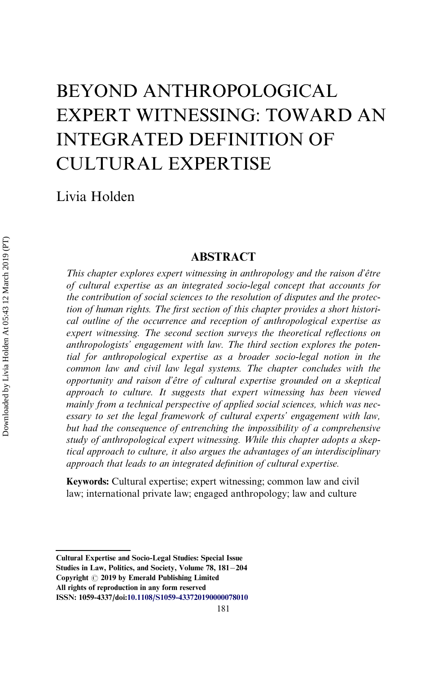# BEYOND ANTHROPOLOGICAL EXPERT WITNESSING: TOWARD AN INTEGRATED DEFINITION OF CULTURAL EXPERTISE

Livia Holden

# ABSTRACT

This chapter explores expert witnessing in anthropology and the raison d'être of cultural expertise as an integrated socio-legal concept that accounts for the contribution of social sciences to the resolution of disputes and the protection of human rights. The first section of this chapter provides a short historical outline of the occurrence and reception of anthropological expertise as expert witnessing. The second section surveys the theoretical reflections on anthropologists' engagement with law. The third section explores the potential for anthropological expertise as a broader socio-legal notion in the common law and civil law legal systems. The chapter concludes with the opportunity and raison d'être of cultural expertise grounded on a skeptical approach to culture. It suggests that expert witnessing has been viewed mainly from a technical perspective of applied social sciences, which was necessary to set the legal framework of cultural experts' engagement with law, but had the consequence of entrenching the impossibility of a comprehensive study of anthropological expert witnessing. While this chapter adopts a skeptical approach to culture, it also argues the advantages of an interdisciplinary approach that leads to an integrated definition of cultural expertise.

Keywords: Cultural expertise; expert witnessing; common law and civil law; international private law; engaged anthropology; law and culture

Cultural Expertise and Socio-Legal Studies: Special Issue

Studies in Law, Politics, and Society, Volume 78, 181-204

Copyright  $\odot$  2019 by Emerald Publishing Limited All rights of reproduction in any form reserved

ISSN: 1059-4337/doi:[10.1108/S1059-433720190000078010](http://dx.doi.org/10.1108/S1059-433720190000078010)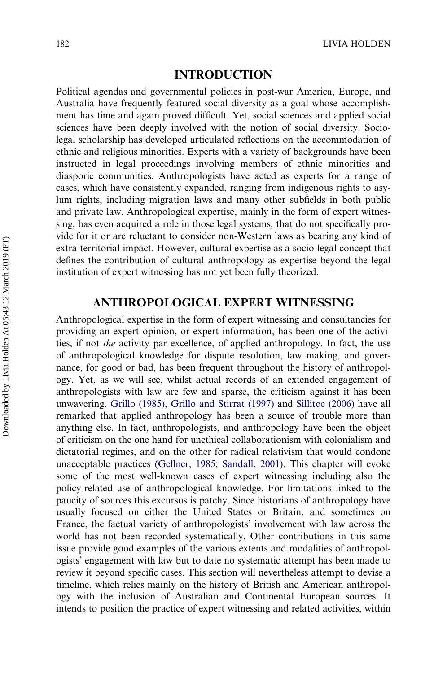# INTRODUCTION

Political agendas and governmental policies in post-war America, Europe, and Australia have frequently featured social diversity as a goal whose accomplishment has time and again proved difficult. Yet, social sciences and applied social sciences have been deeply involved with the notion of social diversity. Sociolegal scholarship has developed articulated reflections on the accommodation of ethnic and religious minorities. Experts with a variety of backgrounds have been instructed in legal proceedings involving members of ethnic minorities and diasporic communities. Anthropologists have acted as experts for a range of cases, which have consistently expanded, ranging from indigenous rights to asylum rights, including migration laws and many other subfields in both public and private law. Anthropological expertise, mainly in the form of expert witnessing, has even acquired a role in those legal systems, that do not specifically provide for it or are reluctant to consider non-Western laws as bearing any kind of extra-territorial impact. However, cultural expertise as a socio-legal concept that defines the contribution of cultural anthropology as expertise beyond the legal institution of expert witnessing has not yet been fully theorized.

# ANTHROPOLOGICAL EXPERT WITNESSING

Anthropological expertise in the form of expert witnessing and consultancies for providing an expert opinion, or expert information, has been one of the activities, if not the activity par excellence, of applied anthropology. In fact, the use of anthropological knowledge for dispute resolution, law making, and governance, for good or bad, has been frequent throughout the history of anthropology. Yet, as we will see, whilst actual records of an extended engagement of anthropologists with law are few and sparse, the criticism against it has been unwavering. [Grillo \(1985\),](#page-21-0) [Grillo and Stirrat \(1997\)](#page-21-0) and [Sillitoe \(2006\)](#page-23-0) have all remarked that applied anthropology has been a source of trouble more than anything else. In fact, anthropologists, and anthropology have been the object of criticism on the one hand for unethical collaborationism with colonialism and dictatorial regimes, and on the other for radical relativism that would condone unacceptable practices [\(Gellner, 1985;](#page-21-0) [Sandall, 2001\)](#page-23-0). This chapter will evoke some of the most well-known cases of expert witnessing including also the policy-related use of anthropological knowledge. For limitations linked to the paucity of sources this excursus is patchy. Since historians of anthropology have usually focused on either the United States or Britain, and sometimes on France, the factual variety of anthropologists' involvement with law across the world has not been recorded systematically. Other contributions in this same issue provide good examples of the various extents and modalities of anthropologists' engagement with law but to date no systematic attempt has been made to review it beyond specific cases. This section will nevertheless attempt to devise a timeline, which relies mainly on the history of British and American anthropology with the inclusion of Australian and Continental European sources. It intends to position the practice of expert witnessing and related activities, within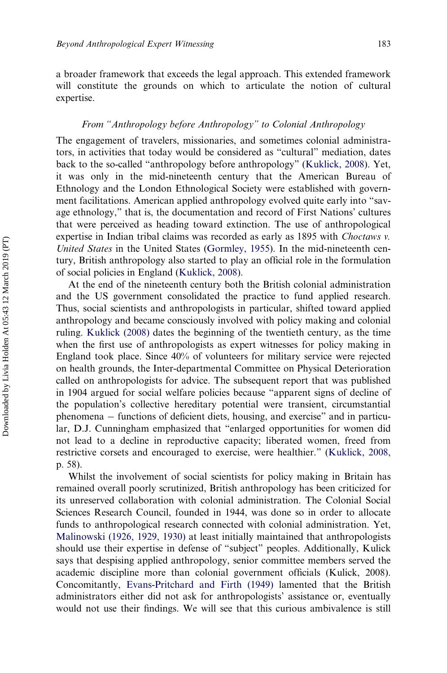a broader framework that exceeds the legal approach. This extended framework will constitute the grounds on which to articulate the notion of cultural expertise.

#### From "Anthropology before Anthropology" to Colonial Anthropology

The engagement of travelers, missionaries, and sometimes colonial administrators, in activities that today would be considered as "cultural" mediation, dates back to the so-called "anthropology before anthropology" ([Kuklick, 2008](#page-22-0)). Yet, it was only in the mid-nineteenth century that the American Bureau of Ethnology and the London Ethnological Society were established with government facilitations. American applied anthropology evolved quite early into "savage ethnology," that is, the documentation and record of First Nations' cultures that were perceived as heading toward extinction. The use of anthropological expertise in Indian tribal claims was recorded as early as 1895 with *Choctaws v*. United States in the United States ([Gormley, 1955](#page-21-0)). In the mid-nineteenth century, British anthropology also started to play an official role in the formulation of social policies in England [\(Kuklick, 2008\)](#page-22-0).

At the end of the nineteenth century both the British colonial administration and the US government consolidated the practice to fund applied research. Thus, social scientists and anthropologists in particular, shifted toward applied anthropology and became consciously involved with policy making and colonial ruling. [Kuklick \(2008\)](#page-22-0) dates the beginning of the twentieth century, as the time when the first use of anthropologists as expert witnesses for policy making in England took place. Since 40% of volunteers for military service were rejected on health grounds, the Inter-departmental Committee on Physical Deterioration called on anthropologists for advice. The subsequent report that was published in 1904 argued for social welfare policies because "apparent signs of decline of the population's collective hereditary potential were transient, circumstantial phenomena – functions of deficient diets, housing, and exercise" and in particular, D.J. Cunningham emphasized that "enlarged opportunities for women did not lead to a decline in reproductive capacity; liberated women, freed from restrictive corsets and encouraged to exercise, were healthier." ([Kuklick, 2008](#page-22-0), p. 58).

Whilst the involvement of social scientists for policy making in Britain has remained overall poorly scrutinized, British anthropology has been criticized for its unreserved collaboration with colonial administration. The Colonial Social Sciences Research Council, founded in 1944, was done so in order to allocate funds to anthropological research connected with colonial administration. Yet, Malinowski (1926, 1929, 1930) at least initially maintained that anthropologists should use their expertise in defense of "subject" peoples. Additionally, Kulick says that despising applied anthropology, senior committee members served the academic discipline more than colonial government officials (Kulick, 2008). Concomitantly, [Evans-Pritchard and Firth \(1949\)](#page-21-0) lamented that the British administrators either did not ask for anthropologists' assistance or, eventually would not use their findings. We will see that this curious ambivalence is still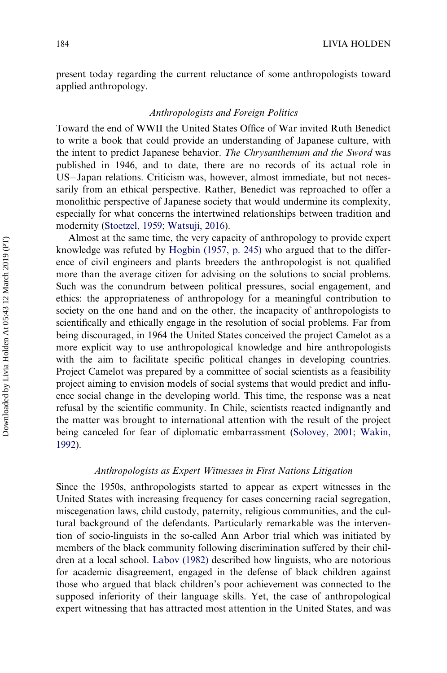present today regarding the current reluctance of some anthropologists toward applied anthropology.

#### Anthropologists and Foreign Politics

Toward the end of WWII the United States Office of War invited Ruth Benedict to write a book that could provide an understanding of Japanese culture, with the intent to predict Japanese behavior. The Chrysanthemum and the Sword was published in 1946, and to date, there are no records of its actual role in US-Japan relations. Criticism was, however, almost immediate, but not necessarily from an ethical perspective. Rather, Benedict was reproached to offer a monolithic perspective of Japanese society that would undermine its complexity, especially for what concerns the intertwined relationships between tradition and modernity ([Stoetzel, 1959;](#page-23-0) [Watsuji, 2016\)](#page-24-0).

Almost at the same time, the very capacity of anthropology to provide expert knowledge was refuted by [Hogbin \(1957, p. 245\)](#page-21-0) who argued that to the difference of civil engineers and plants breeders the anthropologist is not qualified more than the average citizen for advising on the solutions to social problems. Such was the conundrum between political pressures, social engagement, and ethics: the appropriateness of anthropology for a meaningful contribution to society on the one hand and on the other, the incapacity of anthropologists to scientifically and ethically engage in the resolution of social problems. Far from being discouraged, in 1964 the United States conceived the project Camelot as a more explicit way to use anthropological knowledge and hire anthropologists with the aim to facilitate specific political changes in developing countries. Project Camelot was prepared by a committee of social scientists as a feasibility project aiming to envision models of social systems that would predict and influence social change in the developing world. This time, the response was a neat refusal by the scientific community. In Chile, scientists reacted indignantly and the matter was brought to international attention with the result of the project being canceled for fear of diplomatic embarrassment ([Solovey, 2001;](#page-23-0) [Wakin,](#page-24-0) [1992\)](#page-24-0).

#### Anthropologists as Expert Witnesses in First Nations Litigation

Since the 1950s, anthropologists started to appear as expert witnesses in the United States with increasing frequency for cases concerning racial segregation, miscegenation laws, child custody, paternity, religious communities, and the cultural background of the defendants. Particularly remarkable was the intervention of socio-linguists in the so-called Ann Arbor trial which was initiated by members of the black community following discrimination suffered by their children at a local school. [Labov \(1982\)](#page-22-0) described how linguists, who are notorious for academic disagreement, engaged in the defense of black children against those who argued that black children's poor achievement was connected to the supposed inferiority of their language skills. Yet, the case of anthropological expert witnessing that has attracted most attention in the United States, and was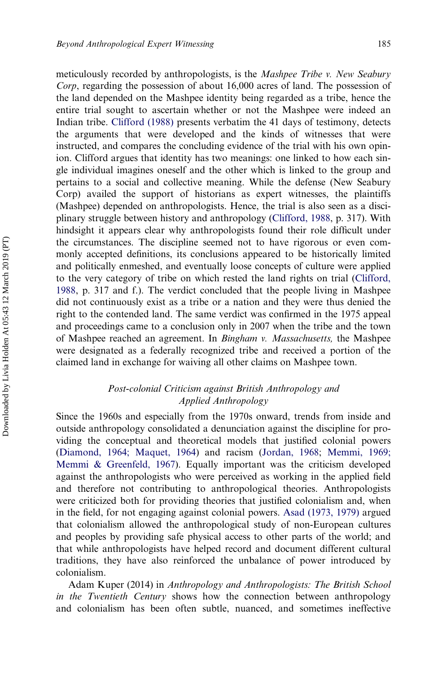meticulously recorded by anthropologists, is the Mashpee Tribe v. New Seabury Corp, regarding the possession of about 16,000 acres of land. The possession of the land depended on the Mashpee identity being regarded as a tribe, hence the entire trial sought to ascertain whether or not the Mashpee were indeed an Indian tribe. [Clifford \(1988\)](#page-20-0) presents verbatim the 41 days of testimony, detects the arguments that were developed and the kinds of witnesses that were instructed, and compares the concluding evidence of the trial with his own opinion. Clifford argues that identity has two meanings: one linked to how each single individual imagines oneself and the other which is linked to the group and pertains to a social and collective meaning. While the defense (New Seabury Corp) availed the support of historians as expert witnesses, the plaintiffs (Mashpee) depended on anthropologists. Hence, the trial is also seen as a disciplinary struggle between history and anthropology [\(Clifford, 1988,](#page-20-0) p. 317). With hindsight it appears clear why anthropologists found their role difficult under the circumstances. The discipline seemed not to have rigorous or even commonly accepted definitions, its conclusions appeared to be historically limited and politically enmeshed, and eventually loose concepts of culture were applied to the very category of tribe on which rested the land rights on trial [\(Clifford,](#page-20-0) [1988,](#page-20-0) p. 317 and f.). The verdict concluded that the people living in Mashpee did not continuously exist as a tribe or a nation and they were thus denied the right to the contended land. The same verdict was confirmed in the 1975 appeal and proceedings came to a conclusion only in 2007 when the tribe and the town of Mashpee reached an agreement. In Bingham v. Massachusetts, the Mashpee were designated as a federally recognized tribe and received a portion of the claimed land in exchange for waiving all other claims on Mashpee town.

## Post-colonial Criticism against British Anthropology and Applied Anthropology

Since the 1960s and especially from the 1970s onward, trends from inside and outside anthropology consolidated a denunciation against the discipline for providing the conceptual and theoretical models that justified colonial powers [\(Diamond, 1964;](#page-21-0) [Maquet, 1964\)](#page-22-0) and racism ([Jordan, 1968;](#page-22-0) [Memmi, 1969;](#page-22-0) [Memmi & Greenfeld, 1967\)](#page-22-0). Equally important was the criticism developed against the anthropologists who were perceived as working in the applied field and therefore not contributing to anthropological theories. Anthropologists were criticized both for providing theories that justified colonialism and, when in the field, for not engaging against colonial powers. Asad (1973, 1979) argued that colonialism allowed the anthropological study of non-European cultures and peoples by providing safe physical access to other parts of the world; and that while anthropologists have helped record and document different cultural traditions, they have also reinforced the unbalance of power introduced by colonialism.

Adam Kuper (2014) in Anthropology and Anthropologists: The British School in the Twentieth Century shows how the connection between anthropology and colonialism has been often subtle, nuanced, and sometimes ineffective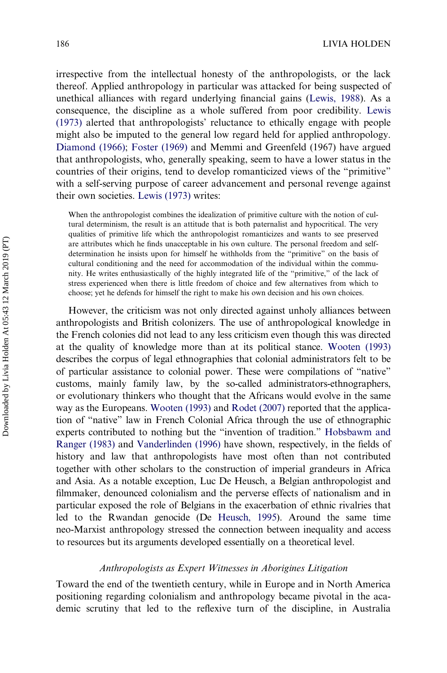186 LIVIA HOLDEN

irrespective from the intellectual honesty of the anthropologists, or the lack thereof. Applied anthropology in particular was attacked for being suspected of unethical alliances with regard underlying financial gains [\(Lewis, 1988](#page-22-0)). As a consequence, the discipline as a whole suffered from poor credibility. [Lewis](#page-22-0) [\(1973\)](#page-22-0) alerted that anthropologists' reluctance to ethically engage with people might also be imputed to the general low regard held for applied anthropology. [Diamond \(1966\);](#page-21-0) [Foster \(1969\)](#page-21-0) and Memmi and Greenfeld (1967) have argued that anthropologists, who, generally speaking, seem to have a lower status in the countries of their origins, tend to develop romanticized views of the "primitive" with a self-serving purpose of career advancement and personal revenge against their own societies. [Lewis \(1973\)](#page-22-0) writes:

When the anthropologist combines the idealization of primitive culture with the notion of cultural determinism, the result is an attitude that is both paternalist and hypocritical. The very qualities of primitive life which the anthropologist romanticizes and wants to see preserved are attributes which he finds unacceptable in his own culture. The personal freedom and selfdetermination he insists upon for himself he withholds from the "primitive" on the basis of cultural conditioning and the need for accommodation of the individual within the community. He writes enthusiastically of the highly integrated life of the "primitive," of the lack of stress experienced when there is little freedom of choice and few alternatives from which to choose; yet he defends for himself the right to make his own decision and his own choices.

However, the criticism was not only directed against unholy alliances between anthropologists and British colonizers. The use of anthropological knowledge in the French colonies did not lead to any less criticism even though this was directed at the quality of knowledge more than at its political stance. [Wooten \(1993\)](#page-24-0) describes the corpus of legal ethnographies that colonial administrators felt to be of particular assistance to colonial power. These were compilations of "native" customs, mainly family law, by the so-called administrators-ethnographers, or evolutionary thinkers who thought that the Africans would evolve in the same way as the Europeans. [Wooten \(1993\)](#page-24-0) and [Rodet \(2007\)](#page-23-0) reported that the application of "native" law in French Colonial Africa through the use of ethnographic experts contributed to nothing but the "invention of tradition." [Hobsbawm and](#page-21-0) [Ranger \(1983\)](#page-21-0) and [Vanderlinden \(1996\)](#page-23-0) have shown, respectively, in the fields of history and law that anthropologists have most often than not contributed together with other scholars to the construction of imperial grandeurs in Africa and Asia. As a notable exception, Luc De Heusch, a Belgian anthropologist and filmmaker, denounced colonialism and the perverse effects of nationalism and in particular exposed the role of Belgians in the exacerbation of ethnic rivalries that led to the Rwandan genocide (De [Heusch, 1995\)](#page-21-0). Around the same time neo-Marxist anthropology stressed the connection between inequality and access to resources but its arguments developed essentially on a theoretical level.

#### Anthropologists as Expert Witnesses in Aborigines Litigation

Toward the end of the twentieth century, while in Europe and in North America positioning regarding colonialism and anthropology became pivotal in the academic scrutiny that led to the reflexive turn of the discipline, in Australia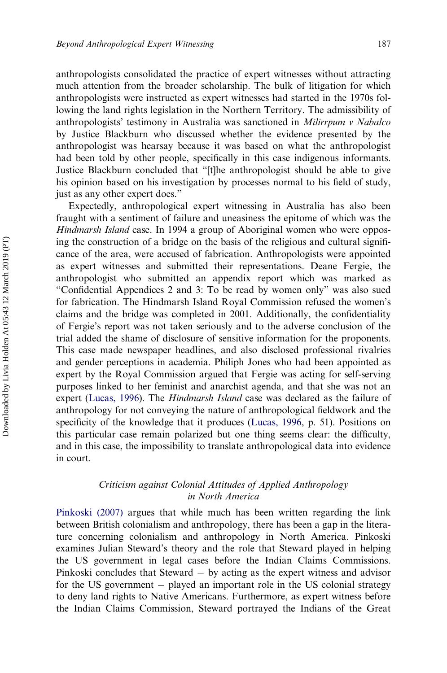anthropologists consolidated the practice of expert witnesses without attracting much attention from the broader scholarship. The bulk of litigation for which anthropologists were instructed as expert witnesses had started in the 1970s following the land rights legislation in the Northern Territory. The admissibility of anthropologists' testimony in Australia was sanctioned in Milirrpum v Nabalco by Justice Blackburn who discussed whether the evidence presented by the anthropologist was hearsay because it was based on what the anthropologist had been told by other people, specifically in this case indigenous informants. Justice Blackburn concluded that "[t]he anthropologist should be able to give his opinion based on his investigation by processes normal to his field of study, just as any other expert does."

Expectedly, anthropological expert witnessing in Australia has also been fraught with a sentiment of failure and uneasiness the epitome of which was the Hindmarsh Island case. In 1994 a group of Aboriginal women who were opposing the construction of a bridge on the basis of the religious and cultural significance of the area, were accused of fabrication. Anthropologists were appointed as expert witnesses and submitted their representations. Deane Fergie, the anthropologist who submitted an appendix report which was marked as "Confidential Appendices 2 and 3: To be read by women only" was also sued for fabrication. The Hindmarsh Island Royal Commission refused the women's claims and the bridge was completed in 2001. Additionally, the confidentiality of Fergie's report was not taken seriously and to the adverse conclusion of the trial added the shame of disclosure of sensitive information for the proponents. This case made newspaper headlines, and also disclosed professional rivalries and gender perceptions in academia. Philiph Jones who had been appointed as expert by the Royal Commission argued that Fergie was acting for self-serving purposes linked to her feminist and anarchist agenda, and that she was not an expert [\(Lucas, 1996](#page-22-0)). The *Hindmarsh Island* case was declared as the failure of anthropology for not conveying the nature of anthropological fieldwork and the specificity of the knowledge that it produces ([Lucas, 1996,](#page-22-0) p. 51). Positions on this particular case remain polarized but one thing seems clear: the difficulty, and in this case, the impossibility to translate anthropological data into evidence in court.

#### Criticism against Colonial Attitudes of Applied Anthropology in North America

[Pinkoski \(2007\)](#page-22-0) argues that while much has been written regarding the link between British colonialism and anthropology, there has been a gap in the literature concerning colonialism and anthropology in North America. Pinkoski examines Julian Steward's theory and the role that Steward played in helping the US government in legal cases before the Indian Claims Commissions. Pinkoski concludes that Steward  $-$  by acting as the expert witness and advisor for the US government  $-$  played an important role in the US colonial strategy to deny land rights to Native Americans. Furthermore, as expert witness before the Indian Claims Commission, Steward portrayed the Indians of the Great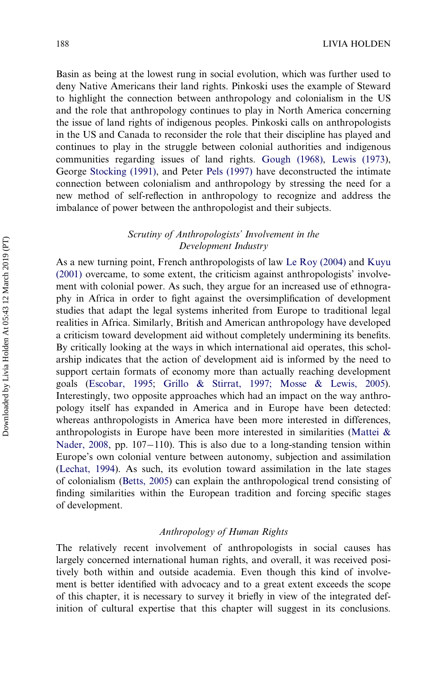Basin as being at the lowest rung in social evolution, which was further used to deny Native Americans their land rights. Pinkoski uses the example of Steward to highlight the connection between anthropology and colonialism in the US and the role that anthropology continues to play in North America concerning the issue of land rights of indigenous peoples. Pinkoski calls on anthropologists in the US and Canada to reconsider the role that their discipline has played and continues to play in the struggle between colonial authorities and indigenous communities regarding issues of land rights. [Gough \(1968\)](#page-21-0), [Lewis \(1973](#page-22-0)), George [Stocking \(1991\),](#page-23-0) and Peter [Pels \(1997\)](#page-22-0) have deconstructed the intimate connection between colonialism and anthropology by stressing the need for a new method of self-reflection in anthropology to recognize and address the imbalance of power between the anthropologist and their subjects.

#### Scrutiny of Anthropologists' Involvement in the Development Industry

As a new turning point, French anthropologists of law [Le Roy \(2004\)](#page-22-0) and [Kuyu](#page-22-0) [\(2001\)](#page-22-0) overcame, to some extent, the criticism against anthropologists' involvement with colonial power. As such, they argue for an increased use of ethnography in Africa in order to fight against the oversimplification of development studies that adapt the legal systems inherited from Europe to traditional legal realities in Africa. Similarly, British and American anthropology have developed a criticism toward development aid without completely undermining its benefits. By critically looking at the ways in which international aid operates, this scholarship indicates that the action of development aid is informed by the need to support certain formats of economy more than actually reaching development goals ([Escobar, 1995](#page-21-0); [Grillo & Stirrat, 1997;](#page-21-0) [Mosse & Lewis, 2005](#page-22-0)). Interestingly, two opposite approaches which had an impact on the way anthropology itself has expanded in America and in Europe have been detected: whereas anthropologists in America have been more interested in differences, anthropologists in Europe have been more interested in similarities ([Mattei &](#page-22-0) [Nader, 2008](#page-22-0), pp.  $107-110$ ). This is also due to a long-standing tension within Europe's own colonial venture between autonomy, subjection and assimilation [\(Lechat, 1994\)](#page-22-0). As such, its evolution toward assimilation in the late stages of colonialism ([Betts, 2005\)](#page-20-0) can explain the anthropological trend consisting of finding similarities within the European tradition and forcing specific stages of development.

#### Anthropology of Human Rights

The relatively recent involvement of anthropologists in social causes has largely concerned international human rights, and overall, it was received positively both within and outside academia. Even though this kind of involvement is better identified with advocacy and to a great extent exceeds the scope of this chapter, it is necessary to survey it briefly in view of the integrated definition of cultural expertise that this chapter will suggest in its conclusions.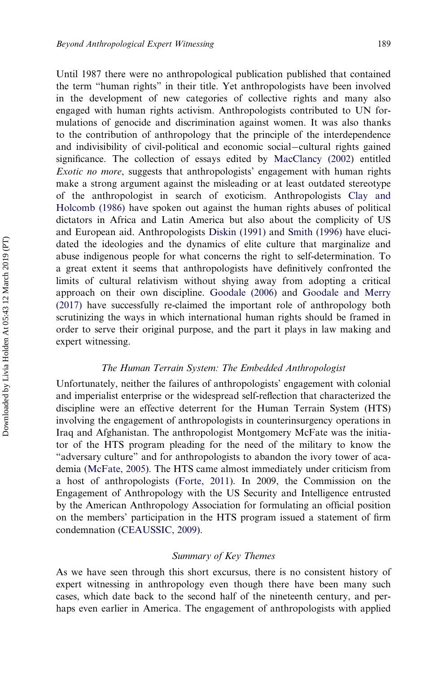Until 1987 there were no anthropological publication published that contained the term "human rights" in their title. Yet anthropologists have been involved in the development of new categories of collective rights and many also engaged with human rights activism. Anthropologists contributed to UN formulations of genocide and discrimination against women. It was also thanks to the contribution of anthropology that the principle of the interdependence and indivisibility of civil-political and economic social-cultural rights gained significance. The collection of essays edited by [MacClancy \(2002\)](#page-22-0) entitled Exotic no more, suggests that anthropologists' engagement with human rights make a strong argument against the misleading or at least outdated stereotype of the anthropologist in search of exoticism. Anthropologists [Clay and](#page-20-0) [Holcomb \(1986\)](#page-20-0) have spoken out against the human rights abuses of political dictators in Africa and Latin America but also about the complicity of US and European aid. Anthropologists [Diskin \(1991\)](#page-21-0) and [Smith \(1996\)](#page-23-0) have elucidated the ideologies and the dynamics of elite culture that marginalize and abuse indigenous people for what concerns the right to self-determination. To a great extent it seems that anthropologists have definitively confronted the limits of cultural relativism without shying away from adopting a critical approach on their own discipline. [Goodale \(2006\)](#page-21-0) and [Goodale and Merry](#page-21-0) [\(2017\)](#page-21-0) have successfully re-claimed the important role of anthropology both scrutinizing the ways in which international human rights should be framed in order to serve their original purpose, and the part it plays in law making and expert witnessing.

#### The Human Terrain System: The Embedded Anthropologist

Unfortunately, neither the failures of anthropologists' engagement with colonial and imperialist enterprise or the widespread self-reflection that characterized the discipline were an effective deterrent for the Human Terrain System (HTS) involving the engagement of anthropologists in counterinsurgency operations in Iraq and Afghanistan. The anthropologist Montgomery McFate was the initiator of the HTS program pleading for the need of the military to know the "adversary culture" and for anthropologists to abandon the ivory tower of academia [\(McFate, 2005](#page-22-0)). The HTS came almost immediately under criticism from a host of anthropologists [\(Forte, 2011](#page-21-0)). In 2009, the Commission on the Engagement of Anthropology with the US Security and Intelligence entrusted by the American Anthropology Association for formulating an official position on the members' participation in the HTS program issued a statement of firm condemnation ([CEAUSSIC, 2009\)](#page-20-0).

#### Summary of Key Themes

As we have seen through this short excursus, there is no consistent history of expert witnessing in anthropology even though there have been many such cases, which date back to the second half of the nineteenth century, and perhaps even earlier in America. The engagement of anthropologists with applied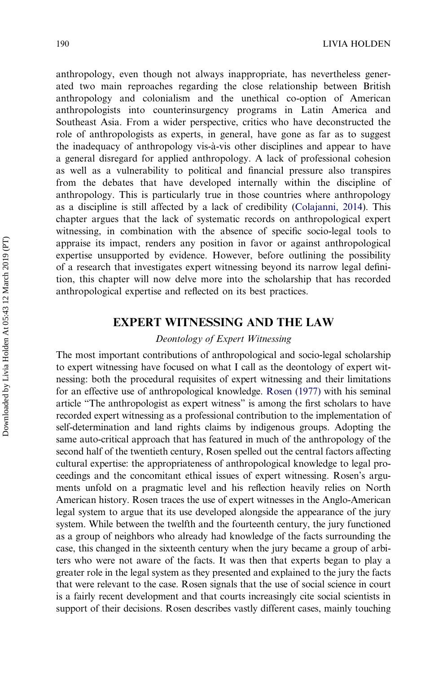anthropology, even though not always inappropriate, has nevertheless generated two main reproaches regarding the close relationship between British anthropology and colonialism and the unethical co-option of American anthropologists into counterinsurgency programs in Latin America and Southeast Asia. From a wider perspective, critics who have deconstructed the role of anthropologists as experts, in general, have gone as far as to suggest the inadequacy of anthropology vis-à-vis other disciplines and appear to have a general disregard for applied anthropology. A lack of professional cohesion as well as a vulnerability to political and financial pressure also transpires from the debates that have developed internally within the discipline of anthropology. This is particularly true in those countries where anthropology as a discipline is still affected by a lack of credibility ([Colajanni, 2014\)](#page-20-0). This chapter argues that the lack of systematic records on anthropological expert witnessing, in combination with the absence of specific socio-legal tools to appraise its impact, renders any position in favor or against anthropological expertise unsupported by evidence. However, before outlining the possibility of a research that investigates expert witnessing beyond its narrow legal definition, this chapter will now delve more into the scholarship that has recorded anthropological expertise and reflected on its best practices.

## EXPERT WITNESSING AND THE LAW

#### Deontology of Expert Witnessing

The most important contributions of anthropological and socio-legal scholarship to expert witnessing have focused on what I call as the deontology of expert witnessing: both the procedural requisites of expert witnessing and their limitations for an effective use of anthropological knowledge. [Rosen \(1977\)](#page-23-0) with his seminal article "The anthropologist as expert witness" is among the first scholars to have recorded expert witnessing as a professional contribution to the implementation of self-determination and land rights claims by indigenous groups. Adopting the same auto-critical approach that has featured in much of the anthropology of the second half of the twentieth century, Rosen spelled out the central factors affecting cultural expertise: the appropriateness of anthropological knowledge to legal proceedings and the concomitant ethical issues of expert witnessing. Rosen's arguments unfold on a pragmatic level and his reflection heavily relies on North American history. Rosen traces the use of expert witnesses in the Anglo-American legal system to argue that its use developed alongside the appearance of the jury system. While between the twelfth and the fourteenth century, the jury functioned as a group of neighbors who already had knowledge of the facts surrounding the case, this changed in the sixteenth century when the jury became a group of arbiters who were not aware of the facts. It was then that experts began to play a greater role in the legal system as they presented and explained to the jury the facts that were relevant to the case. Rosen signals that the use of social science in court is a fairly recent development and that courts increasingly cite social scientists in support of their decisions. Rosen describes vastly different cases, mainly touching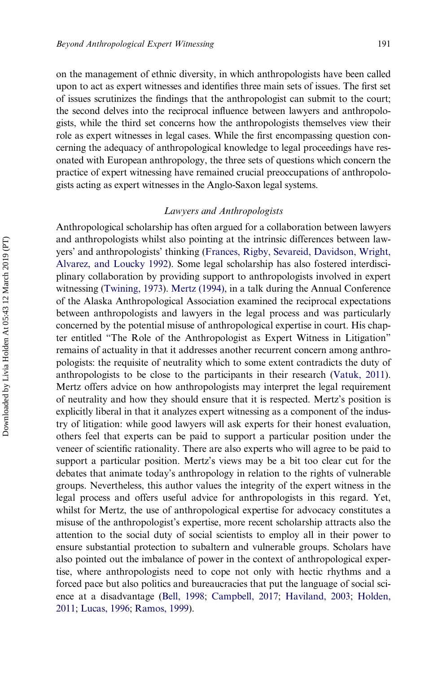on the management of ethnic diversity, in which anthropologists have been called upon to act as expert witnesses and identifies three main sets of issues. The first set of issues scrutinizes the findings that the anthropologist can submit to the court; the second delves into the reciprocal influence between lawyers and anthropologists, while the third set concerns how the anthropologists themselves view their role as expert witnesses in legal cases. While the first encompassing question concerning the adequacy of anthropological knowledge to legal proceedings have resonated with European anthropology, the three sets of questions which concern the practice of expert witnessing have remained crucial preoccupations of anthropologists acting as expert witnesses in the Anglo-Saxon legal systems.

#### Lawyers and Anthropologists

Anthropological scholarship has often argued for a collaboration between lawyers and anthropologists whilst also pointing at the intrinsic differences between lawyers' and anthropologists' thinking ([Frances, Rigby, Sevareid, Davidson, Wright,](#page-21-0) [Alvarez, and Loucky 1992\)](#page-21-0). Some legal scholarship has also fostered interdisciplinary collaboration by providing support to anthropologists involved in expert witnessing [\(Twining, 1973\)](#page-23-0). [Mertz \(1994\)](#page-22-0), in a talk during the Annual Conference of the Alaska Anthropological Association examined the reciprocal expectations between anthropologists and lawyers in the legal process and was particularly concerned by the potential misuse of anthropological expertise in court. His chapter entitled "The Role of the Anthropologist as Expert Witness in Litigation" remains of actuality in that it addresses another recurrent concern among anthropologists: the requisite of neutrality which to some extent contradicts the duty of anthropologists to be close to the participants in their research [\(Vatuk, 2011](#page-23-0)). Mertz offers advice on how anthropologists may interpret the legal requirement of neutrality and how they should ensure that it is respected. Mertz's position is explicitly liberal in that it analyzes expert witnessing as a component of the industry of litigation: while good lawyers will ask experts for their honest evaluation, others feel that experts can be paid to support a particular position under the veneer of scientific rationality. There are also experts who will agree to be paid to support a particular position. Mertz's views may be a bit too clear cut for the debates that animate today's anthropology in relation to the rights of vulnerable groups. Nevertheless, this author values the integrity of the expert witness in the legal process and offers useful advice for anthropologists in this regard. Yet, whilst for Mertz, the use of anthropological expertise for advocacy constitutes a misuse of the anthropologist's expertise, more recent scholarship attracts also the attention to the social duty of social scientists to employ all in their power to ensure substantial protection to subaltern and vulnerable groups. Scholars have also pointed out the imbalance of power in the context of anthropological expertise, where anthropologists need to cope not only with hectic rhythms and a forced pace but also politics and bureaucracies that put the language of social science at a disadvantage [\(Bell, 1998](#page-20-0); [Campbell, 2017](#page-20-0); [Haviland, 2003;](#page-21-0) [Holden,](#page-21-0) [2011;](#page-21-0) [Lucas, 1996](#page-22-0); [Ramos, 1999\)](#page-22-0).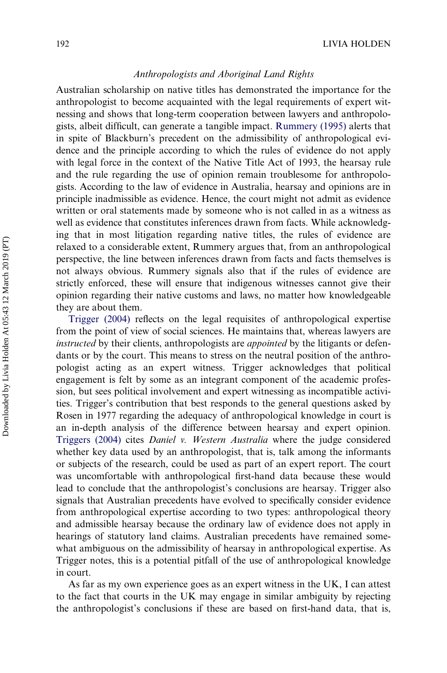## Anthropologists and Aboriginal Land Rights

Australian scholarship on native titles has demonstrated the importance for the anthropologist to become acquainted with the legal requirements of expert witnessing and shows that long-term cooperation between lawyers and anthropologists, albeit difficult, can generate a tangible impact. [Rummery \(1995\)](#page-23-0) alerts that in spite of Blackburn's precedent on the admissibility of anthropological evidence and the principle according to which the rules of evidence do not apply with legal force in the context of the Native Title Act of 1993, the hearsay rule and the rule regarding the use of opinion remain troublesome for anthropologists. According to the law of evidence in Australia, hearsay and opinions are in principle inadmissible as evidence. Hence, the court might not admit as evidence written or oral statements made by someone who is not called in as a witness as well as evidence that constitutes inferences drawn from facts. While acknowledging that in most litigation regarding native titles, the rules of evidence are relaxed to a considerable extent, Rummery argues that, from an anthropological perspective, the line between inferences drawn from facts and facts themselves is not always obvious. Rummery signals also that if the rules of evidence are strictly enforced, these will ensure that indigenous witnesses cannot give their opinion regarding their native customs and laws, no matter how knowledgeable they are about them.

[Trigger \(2004\)](#page-23-0) reflects on the legal requisites of anthropological expertise from the point of view of social sciences. He maintains that, whereas lawyers are instructed by their clients, anthropologists are *appointed* by the litigants or defendants or by the court. This means to stress on the neutral position of the anthropologist acting as an expert witness. Trigger acknowledges that political engagement is felt by some as an integrant component of the academic profession, but sees political involvement and expert witnessing as incompatible activities. Trigger's contribution that best responds to the general questions asked by Rosen in 1977 regarding the adequacy of anthropological knowledge in court is an in-depth analysis of the difference between hearsay and expert opinion. [Triggers \(2004\)](#page-23-0) cites Daniel v. Western Australia where the judge considered whether key data used by an anthropologist, that is, talk among the informants or subjects of the research, could be used as part of an expert report. The court was uncomfortable with anthropological first-hand data because these would lead to conclude that the anthropologist's conclusions are hearsay. Trigger also signals that Australian precedents have evolved to specifically consider evidence from anthropological expertise according to two types: anthropological theory and admissible hearsay because the ordinary law of evidence does not apply in hearings of statutory land claims. Australian precedents have remained somewhat ambiguous on the admissibility of hearsay in anthropological expertise. As Trigger notes, this is a potential pitfall of the use of anthropological knowledge in court.

As far as my own experience goes as an expert witness in the UK, I can attest to the fact that courts in the UK may engage in similar ambiguity by rejecting the anthropologist's conclusions if these are based on first-hand data, that is,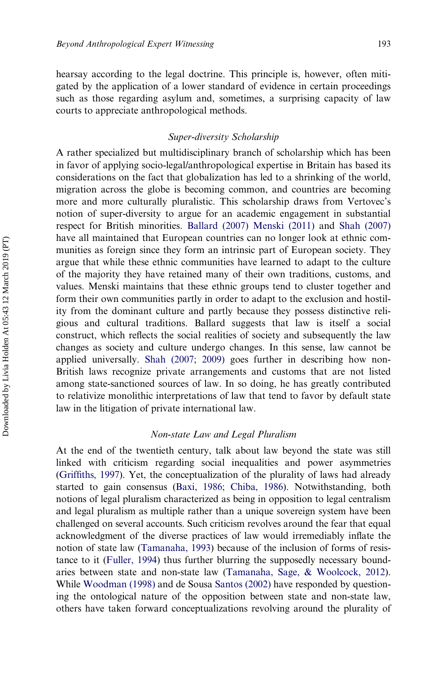hearsay according to the legal doctrine. This principle is, however, often mitigated by the application of a lower standard of evidence in certain proceedings such as those regarding asylum and, sometimes, a surprising capacity of law courts to appreciate anthropological methods.

#### Super-diversity Scholarship

A rather specialized but multidisciplinary branch of scholarship which has been in favor of applying socio-legal/anthropological expertise in Britain has based its considerations on the fact that globalization has led to a shrinking of the world, migration across the globe is becoming common, and countries are becoming more and more culturally pluralistic. This scholarship draws from Vertovec's notion of super-diversity to argue for an academic engagement in substantial respect for British minorities. [Ballard \(2007\)](#page-20-0) [Menski \(2011\)](#page-22-0) and [Shah \(2007\)](#page-23-0) have all maintained that European countries can no longer look at ethnic communities as foreign since they form an intrinsic part of European society. They argue that while these ethnic communities have learned to adapt to the culture of the majority they have retained many of their own traditions, customs, and values. Menski maintains that these ethnic groups tend to cluster together and form their own communities partly in order to adapt to the exclusion and hostility from the dominant culture and partly because they possess distinctive religious and cultural traditions. Ballard suggests that law is itself a social construct, which reflects the social realities of society and subsequently the law changes as society and culture undergo changes. In this sense, law cannot be applied universally. [Shah \(2007;](#page-23-0) [2009\)](#page-23-0) goes further in describing how non-British laws recognize private arrangements and customs that are not listed among state-sanctioned sources of law. In so doing, he has greatly contributed to relativize monolithic interpretations of law that tend to favor by default state law in the litigation of private international law.

#### Non-state Law and Legal Pluralism

At the end of the twentieth century, talk about law beyond the state was still linked with criticism regarding social inequalities and power asymmetries (Griffi[ths, 1997](#page-21-0)). Yet, the conceptualization of the plurality of laws had already started to gain consensus ([Baxi, 1986](#page-20-0); [Chiba, 1986\)](#page-20-0). Notwithstanding, both notions of legal pluralism characterized as being in opposition to legal centralism and legal pluralism as multiple rather than a unique sovereign system have been challenged on several accounts. Such criticism revolves around the fear that equal acknowledgment of the diverse practices of law would irremediably inflate the notion of state law ([Tamanaha, 1993](#page-23-0)) because of the inclusion of forms of resistance to it [\(Fuller, 1994](#page-21-0)) thus further blurring the supposedly necessary boundaries between state and non-state law [\(Tamanaha, Sage, & Woolcock, 2012](#page-23-0)). While [Woodman \(1998\)](#page-24-0) and de Sousa [Santos \(2002\)](#page-23-0) have responded by questioning the ontological nature of the opposition between state and non-state law, others have taken forward conceptualizations revolving around the plurality of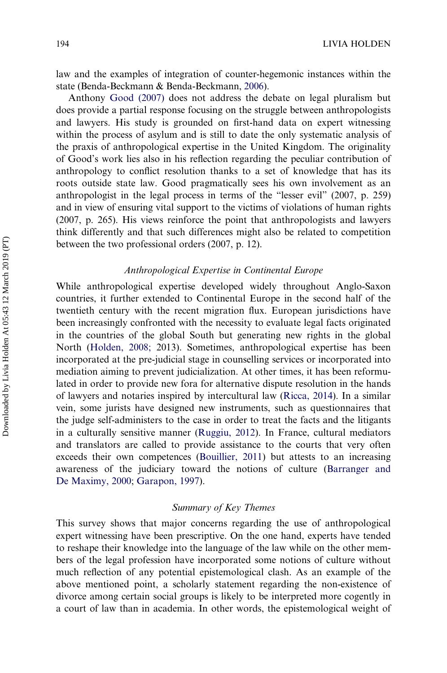194 LIVIA HOLDEN

law and the examples of integration of counter-hegemonic instances within the state (Benda-Beckmann & Benda-Beckmann, [2006](#page-20-0)).

Anthony [Good \(2007\)](#page-21-0) does not address the debate on legal pluralism but does provide a partial response focusing on the struggle between anthropologists and lawyers. His study is grounded on first-hand data on expert witnessing within the process of asylum and is still to date the only systematic analysis of the praxis of anthropological expertise in the United Kingdom. The originality of Good's work lies also in his reflection regarding the peculiar contribution of anthropology to conflict resolution thanks to a set of knowledge that has its roots outside state law. Good pragmatically sees his own involvement as an anthropologist in the legal process in terms of the "lesser evil" (2007, p. 259) and in view of ensuring vital support to the victims of violations of human rights (2007, p. 265). His views reinforce the point that anthropologists and lawyers think differently and that such differences might also be related to competition between the two professional orders (2007, p. 12).

## Anthropological Expertise in Continental Europe

While anthropological expertise developed widely throughout Anglo-Saxon countries, it further extended to Continental Europe in the second half of the twentieth century with the recent migration flux. European jurisdictions have been increasingly confronted with the necessity to evaluate legal facts originated in the countries of the global South but generating new rights in the global North ([Holden, 2008;](#page-21-0) 2013). Sometimes, anthropological expertise has been incorporated at the pre-judicial stage in counselling services or incorporated into mediation aiming to prevent judicialization. At other times, it has been reformulated in order to provide new fora for alternative dispute resolution in the hands of lawyers and notaries inspired by intercultural law [\(Ricca, 2014\)](#page-22-0). In a similar vein, some jurists have designed new instruments, such as questionnaires that the judge self-administers to the case in order to treat the facts and the litigants in a culturally sensitive manner ([Ruggiu, 2012\)](#page-23-0). In France, cultural mediators and translators are called to provide assistance to the courts that very often exceeds their own competences [\(Bouillier, 2011](#page-20-0)) but attests to an increasing awareness of the judiciary toward the notions of culture [\(Barranger and](#page-20-0) [De Maximy, 2000;](#page-20-0) [Garapon, 1997](#page-21-0)).

#### Summary of Key Themes

This survey shows that major concerns regarding the use of anthropological expert witnessing have been prescriptive. On the one hand, experts have tended to reshape their knowledge into the language of the law while on the other members of the legal profession have incorporated some notions of culture without much reflection of any potential epistemological clash. As an example of the above mentioned point, a scholarly statement regarding the non-existence of divorce among certain social groups is likely to be interpreted more cogently in a court of law than in academia. In other words, the epistemological weight of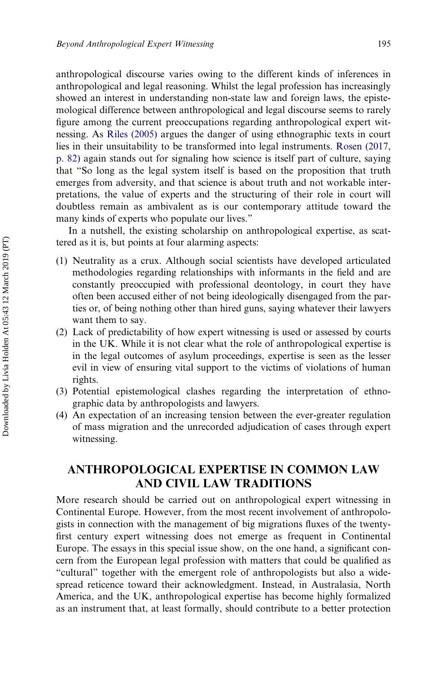anthropological discourse varies owing to the different kinds of inferences in anthropological and legal reasoning. Whilst the legal profession has increasingly showed an interest in understanding non-state law and foreign laws, the epistemological difference between anthropological and legal discourse seems to rarely figure among the current preoccupations regarding anthropological expert witnessing. As [Riles \(2005\)](#page-22-0) argues the danger of using ethnographic texts in court lies in their unsuitability to be transformed into legal instruments. [Rosen \(2017,](#page-23-0) [p. 82\)](#page-23-0) again stands out for signaling how science is itself part of culture, saying that "So long as the legal system itself is based on the proposition that truth emerges from adversity, and that science is about truth and not workable interpretations, the value of experts and the structuring of their role in court will doubtless remain as ambivalent as is our contemporary attitude toward the many kinds of experts who populate our lives."

In a nutshell, the existing scholarship on anthropological expertise, as scattered as it is, but points at four alarming aspects:

- (1) Neutrality as a crux. Although social scientists have developed articulated methodologies regarding relationships with informants in the field and are constantly preoccupied with professional deontology, in court they have often been accused either of not being ideologically disengaged from the parties or, of being nothing other than hired guns, saying whatever their lawyers want them to say.
- (2) Lack of predictability of how expert witnessing is used or assessed by courts in the UK. While it is not clear what the role of anthropological expertise is in the legal outcomes of asylum proceedings, expertise is seen as the lesser evil in view of ensuring vital support to the victims of violations of human rights.
- (3) Potential epistemological clashes regarding the interpretation of ethnographic data by anthropologists and lawyers.
- (4) An expectation of an increasing tension between the ever-greater regulation of mass migration and the unrecorded adjudication of cases through expert witnessing.

# ANTHROPOLOGICAL EXPERTISE IN COMMON LAW AND CIVIL LAW TRADITIONS

More research should be carried out on anthropological expert witnessing in Continental Europe. However, from the most recent involvement of anthropologists in connection with the management of big migrations fluxes of the twentyfirst century expert witnessing does not emerge as frequent in Continental Europe. The essays in this special issue show, on the one hand, a significant concern from the European legal profession with matters that could be qualified as "cultural" together with the emergent role of anthropologists but also a widespread reticence toward their acknowledgment. Instead, in Australasia, North America, and the UK, anthropological expertise has become highly formalized as an instrument that, at least formally, should contribute to a better protection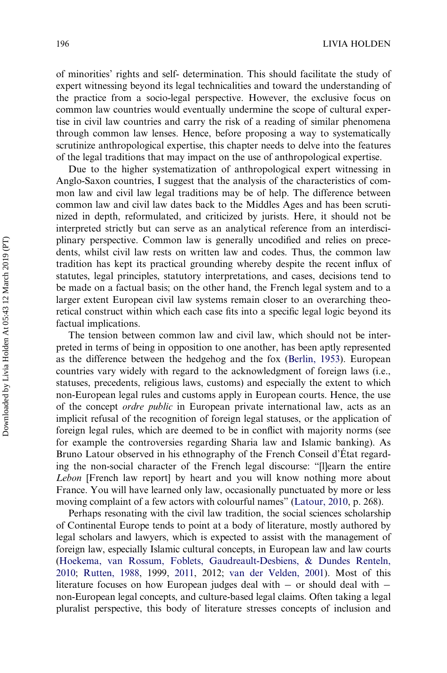of minorities' rights and self- determination. This should facilitate the study of expert witnessing beyond its legal technicalities and toward the understanding of the practice from a socio-legal perspective. However, the exclusive focus on common law countries would eventually undermine the scope of cultural expertise in civil law countries and carry the risk of a reading of similar phenomena through common law lenses. Hence, before proposing a way to systematically scrutinize anthropological expertise, this chapter needs to delve into the features of the legal traditions that may impact on the use of anthropological expertise.

Due to the higher systematization of anthropological expert witnessing in Anglo-Saxon countries, I suggest that the analysis of the characteristics of common law and civil law legal traditions may be of help. The difference between common law and civil law dates back to the Middles Ages and has been scrutinized in depth, reformulated, and criticized by jurists. Here, it should not be interpreted strictly but can serve as an analytical reference from an interdisciplinary perspective. Common law is generally uncodified and relies on precedents, whilst civil law rests on written law and codes. Thus, the common law tradition has kept its practical grounding whereby despite the recent influx of statutes, legal principles, statutory interpretations, and cases, decisions tend to be made on a factual basis; on the other hand, the French legal system and to a larger extent European civil law systems remain closer to an overarching theoretical construct within which each case fits into a specific legal logic beyond its factual implications.

The tension between common law and civil law, which should not be interpreted in terms of being in opposition to one another, has been aptly represented as the difference between the hedgehog and the fox ([Berlin, 1953\)](#page-20-0). European countries vary widely with regard to the acknowledgment of foreign laws (i.e., statuses, precedents, religious laws, customs) and especially the extent to which non-European legal rules and customs apply in European courts. Hence, the use of the concept ordre public in European private international law, acts as an implicit refusal of the recognition of foreign legal statuses, or the application of foreign legal rules, which are deemed to be in conflict with majority norms (see for example the controversies regarding Sharia law and Islamic banking). As Bruno Latour observed in his ethnography of the French Conseil d'État regarding the non-social character of the French legal discourse: "[l]earn the entire Lebon [French law report] by heart and you will know nothing more about France. You will have learned only law, occasionally punctuated by more or less moving complaint of a few actors with colourful names" ([Latour, 2010](#page-22-0), p. 268).

Perhaps resonating with the civil law tradition, the social sciences scholarship of Continental Europe tends to point at a body of literature, mostly authored by legal scholars and lawyers, which is expected to assist with the management of foreign law, especially Islamic cultural concepts, in European law and law courts [\(Hoekema, van Rossum, Foblets, Gaudreault-Desbiens, & Dundes Renteln,](#page-21-0) [2010;](#page-21-0) [Rutten, 1988](#page-23-0), 1999, [2011](#page-23-0), 2012; [van der Velden, 2001\)](#page-23-0). Most of this literature focuses on how European judges deal with  $-$  or should deal with  $$ non-European legal concepts, and culture-based legal claims. Often taking a legal pluralist perspective, this body of literature stresses concepts of inclusion and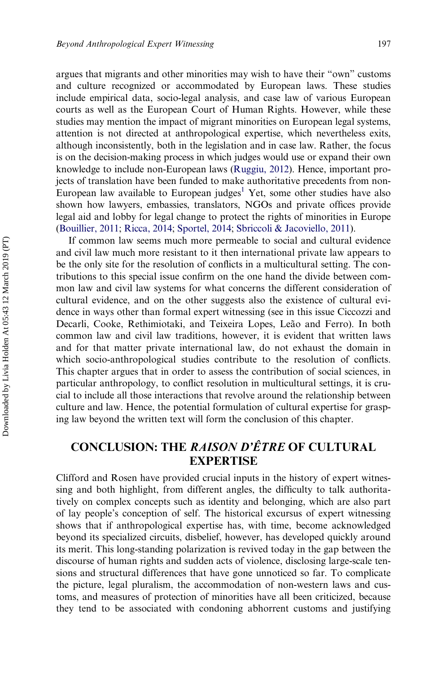argues that migrants and other minorities may wish to have their "own" customs and culture recognized or accommodated by European laws. These studies include empirical data, socio-legal analysis, and case law of various European courts as well as the European Court of Human Rights. However, while these studies may mention the impact of migrant minorities on European legal systems, attention is not directed at anthropological expertise, which nevertheless exits, although inconsistently, both in the legislation and in case law. Rather, the focus is on the decision-making process in which judges would use or expand their own knowledge to include non-European laws [\(Ruggiu, 2012\)](#page-23-0). Hence, important projects of translation have been funded to make authoritative precedents from non-European law available to European judges<sup>1</sup> Yet, some other studies have also shown how lawyers, embassies, translators, NGOs and private offices provide legal aid and lobby for legal change to protect the rights of minorities in Europe [\(Bouillier, 2011;](#page-20-0) [Ricca, 2014](#page-22-0); [Sportel, 2014](#page-23-0); [Sbriccoli & Jacoviello, 2011\)](#page-23-0).

If common law seems much more permeable to social and cultural evidence and civil law much more resistant to it then international private law appears to be the only site for the resolution of conflicts in a multicultural setting. The contributions to this special issue confirm on the one hand the divide between common law and civil law systems for what concerns the different consideration of cultural evidence, and on the other suggests also the existence of cultural evidence in ways other than formal expert witnessing (see in this issue Ciccozzi and Decarli, Cooke, Rethimiotaki, and Teixeira Lopes, Leão and Ferro). In both common law and civil law traditions, however, it is evident that written laws and for that matter private international law, do not exhaust the domain in which socio-anthropological studies contribute to the resolution of conflicts. This chapter argues that in order to assess the contribution of social sciences, in particular anthropology, to conflict resolution in multicultural settings, it is crucial to include all those interactions that revolve around the relationship between culture and law. Hence, the potential formulation of cultural expertise for grasping law beyond the written text will form the conclusion of this chapter.

# CONCLUSION: THE RAISON D'ÊTRE OF CULTURAL **EXPERTISE**

Clifford and Rosen have provided crucial inputs in the history of expert witnessing and both highlight, from different angles, the difficulty to talk authoritatively on complex concepts such as identity and belonging, which are also part of lay people's conception of self. The historical excursus of expert witnessing shows that if anthropological expertise has, with time, become acknowledged beyond its specialized circuits, disbelief, however, has developed quickly around its merit. This long-standing polarization is revived today in the gap between the discourse of human rights and sudden acts of violence, disclosing large-scale tensions and structural differences that have gone unnoticed so far. To complicate the picture, legal pluralism, the accommodation of non-western laws and customs, and measures of protection of minorities have all been criticized, because they tend to be associated with condoning abhorrent customs and justifying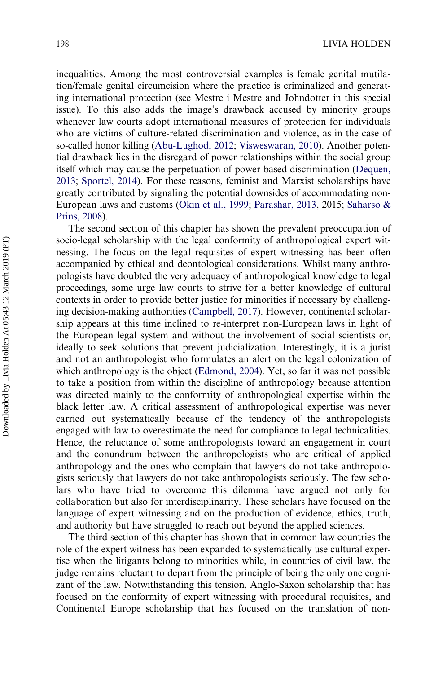inequalities. Among the most controversial examples is female genital mutilation/female genital circumcision where the practice is criminalized and generating international protection (see Mestre i Mestre and Johndotter in this special issue). To this also adds the image's drawback accused by minority groups whenever law courts adopt international measures of protection for individuals who are victims of culture-related discrimination and violence, as in the case of so-called honor killing [\(Abu-Lughod, 2012](#page-20-0); [Visweswaran, 2010\)](#page-24-0). Another potential drawback lies in the disregard of power relationships within the social group itself which may cause the perpetuation of power-based discrimination ([Dequen,](#page-21-0) [2013;](#page-21-0) [Sportel, 2014](#page-23-0)). For these reasons, feminist and Marxist scholarships have greatly contributed by signaling the potential downsides of accommodating non-European laws and customs ([Okin et al., 1999;](#page-22-0) [Parashar, 2013](#page-22-0), 2015; [Saharso &](#page-23-0) [Prins, 2008\)](#page-23-0).

The second section of this chapter has shown the prevalent preoccupation of socio-legal scholarship with the legal conformity of anthropological expert witnessing. The focus on the legal requisites of expert witnessing has been often accompanied by ethical and deontological considerations. Whilst many anthropologists have doubted the very adequacy of anthropological knowledge to legal proceedings, some urge law courts to strive for a better knowledge of cultural contexts in order to provide better justice for minorities if necessary by challenging decision-making authorities [\(Campbell, 2017](#page-20-0)). However, continental scholarship appears at this time inclined to re-interpret non-European laws in light of the European legal system and without the involvement of social scientists or, ideally to seek solutions that prevent judicialization. Interestingly, it is a jurist and not an anthropologist who formulates an alert on the legal colonization of which anthropology is the object ([Edmond, 2004\)](#page-21-0). Yet, so far it was not possible to take a position from within the discipline of anthropology because attention was directed mainly to the conformity of anthropological expertise within the black letter law. A critical assessment of anthropological expertise was never carried out systematically because of the tendency of the anthropologists engaged with law to overestimate the need for compliance to legal technicalities. Hence, the reluctance of some anthropologists toward an engagement in court and the conundrum between the anthropologists who are critical of applied anthropology and the ones who complain that lawyers do not take anthropologists seriously that lawyers do not take anthropologists seriously. The few scholars who have tried to overcome this dilemma have argued not only for collaboration but also for interdisciplinarity. These scholars have focused on the language of expert witnessing and on the production of evidence, ethics, truth, and authority but have struggled to reach out beyond the applied sciences.

The third section of this chapter has shown that in common law countries the role of the expert witness has been expanded to systematically use cultural expertise when the litigants belong to minorities while, in countries of civil law, the judge remains reluctant to depart from the principle of being the only one cognizant of the law. Notwithstanding this tension, Anglo-Saxon scholarship that has focused on the conformity of expert witnessing with procedural requisites, and Continental Europe scholarship that has focused on the translation of non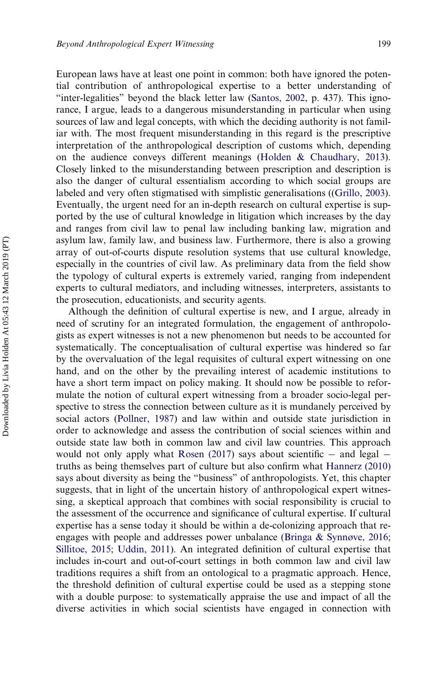European laws have at least one point in common: both have ignored the potential contribution of anthropological expertise to a better understanding of "inter-legalities" beyond the black letter law [\(Santos, 2002](#page-23-0), p. 437). This ignorance, I argue, leads to a dangerous misunderstanding in particular when using sources of law and legal concepts, with which the deciding authority is not familiar with. The most frequent misunderstanding in this regard is the prescriptive interpretation of the anthropological description of customs which, depending on the audience conveys different meanings ([Holden & Chaudhary, 2013](#page-22-0)). Closely linked to the misunderstanding between prescription and description is also the danger of cultural essentialism according to which social groups are labeled and very often stigmatised with simplistic generalisations (([Grillo, 2003](#page-21-0)). Eventually, the urgent need for an in-depth research on cultural expertise is supported by the use of cultural knowledge in litigation which increases by the day and ranges from civil law to penal law including banking law, migration and asylum law, family law, and business law. Furthermore, there is also a growing array of out-of-courts dispute resolution systems that use cultural knowledge, especially in the countries of civil law. As preliminary data from the field show the typology of cultural experts is extremely varied, ranging from independent experts to cultural mediators, and including witnesses, interpreters, assistants to

the prosecution, educationists, and security agents. Although the definition of cultural expertise is new, and I argue, already in need of scrutiny for an integrated formulation, the engagement of anthropologists as expert witnesses is not a new phenomenon but needs to be accounted for systematically. The conceptualisation of cultural expertise was hindered so far by the overvaluation of the legal requisites of cultural expert witnessing on one hand, and on the other by the prevailing interest of academic institutions to have a short term impact on policy making. It should now be possible to reformulate the notion of cultural expert witnessing from a broader socio-legal perspective to stress the connection between culture as it is mundanely perceived by social actors [\(Pollner, 1987\)](#page-22-0) and law within and outside state jurisdiction in order to acknowledge and assess the contribution of social sciences within and outside state law both in common law and civil law countries. This approach would not only apply what [Rosen \(2017\)](#page-23-0) says about scientific  $-$  and legal  $$ truths as being themselves part of culture but also confirm what [Hannerz \(2010\)](#page-21-0) says about diversity as being the "business" of anthropologists. Yet, this chapter suggests, that in light of the uncertain history of anthropological expert witnessing, a skeptical approach that combines with social responsibility is crucial to the assessment of the occurrence and significance of cultural expertise. If cultural expertise has a sense today it should be within a de-colonizing approach that reengages with people and addresses power unbalance [\(Bringa & Synnøve, 2016](#page-20-0); [Sillitoe, 2015;](#page-23-0) [Uddin, 2011](#page-23-0)). An integrated definition of cultural expertise that includes in-court and out-of-court settings in both common law and civil law traditions requires a shift from an ontological to a pragmatic approach. Hence, the threshold definition of cultural expertise could be used as a stepping stone with a double purpose: to systematically appraise the use and impact of all the diverse activities in which social scientists have engaged in connection with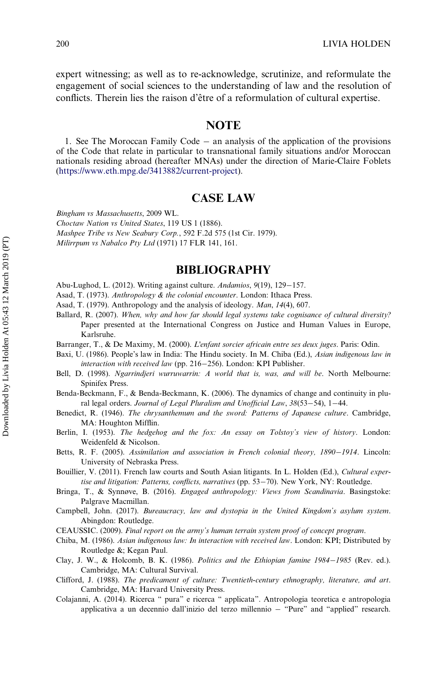<span id="page-20-0"></span>expert witnessing; as well as to re-acknowledge, scrutinize, and reformulate the engagement of social sciences to the understanding of law and the resolution of conflicts. Therein lies the raison d'être of a reformulation of cultural expertise.

## **NOTE**

1. See The Moroccan Family Code  $-$  an analysis of the application of the provisions of the Code that relate in particular to transnational family situations and/or Moroccan nationals residing abroad (hereafter MNAs) under the direction of Marie-Claire Foblets (<https://www.eth.mpg.de/3413882/current-project>).

# CASE LAW

Bingham vs Massachusetts, 2009 WL.

Choctaw Nation vs United States, 119 US 1 (1886). Mashpee Tribe vs New Seabury Corp., 592 F.2d 575 (1st Cir. 1979). Milirrpum vs Nabalco Pty Ltd (1971) 17 FLR 141, 161.

## BIBLIOGRAPHY

Abu-Lughod, L. (2012). Writing against culture. Andamios, 9(19), 129-157.

Asad, T. (1973). Anthropology & the colonial encounter. London: Ithaca Press.

Asad, T. (1979). Anthropology and the analysis of ideology. Man, 14(4), 607.

Ballard, R. (2007). When, why and how far should legal systems take cognisance of cultural diversity? Paper presented at the International Congress on Justice and Human Values in Europe, Karlsruhe.

Barranger, T., & De Maximy, M. (2000). L'enfant sorcier africain entre ses deux juges. Paris: Odin.

- Baxi, U. (1986). People's law in India: The Hindu society. In M. Chiba (Ed.), *Asian indigenous law in* interaction with received law (pp. 216-256). London: KPI Publisher.
- Bell, D. (1998). Ngarrindjeri wurruwarrin: A world that is, was, and will be. North Melbourne: Spinifex Press.
- Benda-Beckmann, F., & Benda-Beckmann, K. (2006). The dynamics of change and continuity in plural legal orders. Journal of Legal Pluralism and Unofficial Law,  $38(53-54)$ , 1-44.
- Benedict, R. (1946). The chrysanthemum and the sword: Patterns of Japanese culture. Cambridge, MA: Houghton Mifflin.
- Berlin, I. (1953). The hedgehog and the fox: An essay on Tolstoy's view of history. London: Weidenfeld & Nicolson.
- Betts, R. F. (2005). Assimilation and association in French colonial theory, 1890–1914. Lincoln: University of Nebraska Press.
- Bouillier, V. (2011). French law courts and South Asian litigants. In L. Holden (Ed.), *Cultural exper*tise and litigation: Patterns, conflicts, narratives (pp. 53–70). New York, NY: Routledge.
- Bringa, T., & Synnøve, B. (2016). Engaged anthropology: Views from Scandinavia. Basingstoke: Palgrave Macmillan.
- Campbell, John. (2017). Bureaucracy, law and dystopia in the United Kingdom's asylum system. Abingdon: Routledge.
- CEAUSSIC. (2009). Final report on the army's human terrain system proof of concept program.
- Chiba, M. (1986). Asian indigenous law: In interaction with received law. London: KPI; Distributed by Routledge &; Kegan Paul.
- Clay, J. W., & Holcomb, B. K. (1986). Politics and the Ethiopian famine 1984–1985 (Rev. ed.). Cambridge, MA: Cultural Survival.
- Clifford, J. (1988). The predicament of culture: Twentieth-century ethnography, literature, and art. Cambridge, MA: Harvard University Press.
- Colajanni, A. (2014). Ricerca " pura" e ricerca " applicata". Antropologia teoretica e antropologia applicativa a un decennio dall'inizio del terzo millennio "Pure" and "applied" research.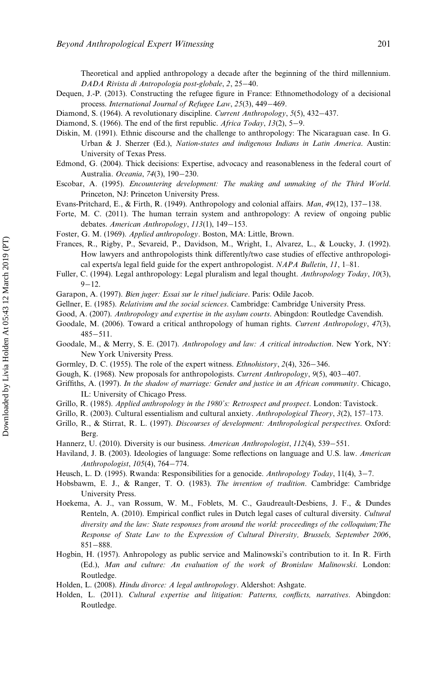<span id="page-21-0"></span>Theoretical and applied anthropology a decade after the beginning of the third millennium. DADA Rivista di Antropologia post-globale, 2, 25-40.

- Dequen, J.-P. (2013). Constructing the refugee figure in France: Ethnomethodology of a decisional process. International Journal of Refugee Law, 25(3), 449-469.
- Diamond, S. (1964). A revolutionary discipline. Current Anthropology, 5(5), 432–437.
- Diamond, S. (1966). The end of the first republic. Africa Today,  $13(2)$ , 5–9.
- Diskin, M. (1991). Ethnic discourse and the challenge to anthropology: The Nicaraguan case. In G. Urban & J. Sherzer (Ed.), Nation-states and indigenous Indians in Latin America. Austin: University of Texas Press.
- Edmond, G. (2004). Thick decisions: Expertise, advocacy and reasonableness in the federal court of Australia. Oceania, 74(3), 190-230.
- Escobar, A. (1995). Encountering development: The making and unmaking of the Third World. Princeton, NJ: Princeton University Press.
- Evans-Pritchard, E., & Firth, R. (1949). Anthropology and colonial affairs. Man,  $49(12)$ , 137–138.
- Forte, M. C. (2011). The human terrain system and anthropology: A review of ongoing public debates. American Anthropology, 113(1), 149-153.
- Foster, G. M. (1969). Applied anthropology. Boston, MA: Little, Brown.
- Frances, R., Rigby, P., Sevareid, P., Davidson, M., Wright, I., Alvarez, L., & Loucky, J. (1992). How lawyers and anthropologists think differently/two case studies of effective anthropological experts/a legal field guide for the expert anthropologist. NAPA Bulletin, 11, 1–81.
- Fuller, C. (1994). Legal anthropology: Legal pluralism and legal thought. Anthropology Today, 10(3),  $9 - 12$
- Garapon, A. (1997). Bien juger: Essai sur le rituel judiciare. Paris: Odile Jacob.
- Gellner, E. (1985). Relativism and the social sciences. Cambridge: Cambridge University Press.
- Good, A. (2007). Anthropology and expertise in the asylum courts. Abingdon: Routledge Cavendish.
- Goodale, M. (2006). Toward a critical anthropology of human rights. Current Anthropology, 47(3),  $485 - 511.$
- Goodale, M., & Merry, S. E. (2017). Anthropology and law: A critical introduction. New York, NY: New York University Press.
- Gormley, D. C. (1955). The role of the expert witness. *Ethnohistory*, 2(4), 326-346.
- Gough, K. (1968). New proposals for anthropologists. Current Anthropology,  $9(5)$ ,  $403-407$ .
- Griffiths, A. (1997). In the shadow of marriage: Gender and justice in an African community. Chicago, IL: University of Chicago Press.
- Grillo, R. (1985). Applied anthropology in the 1980's: Retrospect and prospect. London: Tavistock.
- Grillo, R. (2003). Cultural essentialism and cultural anxiety. Anthropological Theory, 3(2), 157–173.
- Grillo, R., & Stirrat, R. L. (1997). Discourses of development: Anthropological perspectives. Oxford: Berg.
- Hannerz, U. (2010). Diversity is our business. American Anthropologist, 112(4), 539–551.
- Haviland, J. B. (2003). Ideologies of language: Some reflections on language and U.S. law. American Anthropologist, 105(4), 764-774.
- Heusch, L. D. (1995). Rwanda: Responsibilities for a genocide. Anthropology Today, 11(4), 3-7.
- Hobsbawm, E. J., & Ranger, T. O. (1983). The invention of tradition. Cambridge: Cambridge University Press.
- Hoekema, A. J., van Rossum, W. M., Foblets, M. C., Gaudreault-Desbiens, J. F., & Dundes Renteln, A. (2010). Empirical conflict rules in Dutch legal cases of cultural diversity. Cultural diversity and the law: State responses from around the world: proceedings of the colloquium;The Response of State Law to the Expression of Cultural Diversity, Brussels, September 2006, 851-888.
- Hogbin, H. (1957). Anhropology as public service and Malinowski's contribution to it. In R. Firth (Ed.), Man and culture: An evaluation of the work of Bronislaw Malinowski. London: Routledge.
- Holden, L. (2008). Hindu divorce: A legal anthropology. Aldershot: Ashgate.
- Holden, L. (2011). Cultural expertise and litigation: Patterns, conflicts, narratives. Abingdon: Routledge.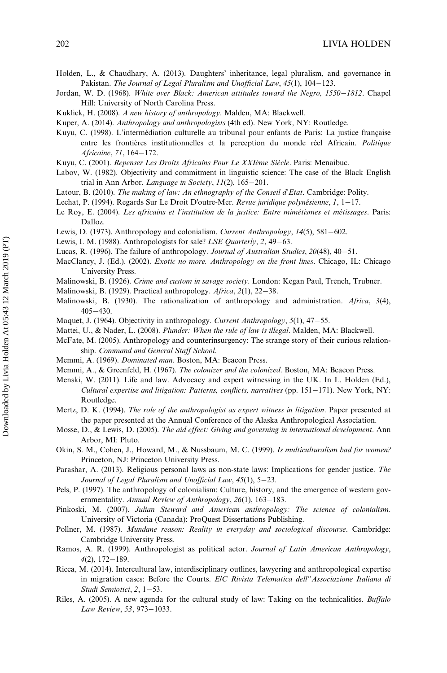<span id="page-22-0"></span>202 LIVIA HOLDEN

- Holden, L., & Chaudhary, A. (2013). Daughters' inheritance, legal pluralism, and governance in Pakistan. The Journal of Legal Pluralism and Unofficial Law, 45(1), 104-123.
- Jordan, W. D. (1968). White over Black: American attitudes toward the Negro, 1550-1812. Chapel Hill: University of North Carolina Press.
- Kuklick, H. (2008). A new history of anthropology. Malden, MA: Blackwell.
- Kuper, A. (2014). Anthropology and anthropologists (4th ed). New York, NY: Routledge.
- Kuyu, C. (1998). L'intermédiation culturelle au tribunal pour enfants de Paris: La justice française entre les frontières institutionnelles et la perception du monde réel Africain. Politique Africaine, 71, 164-172.
- Kuyu, C. (2001). Repenser Les Droits Africains Pour Le XXIème Siècle. Paris: Menaibuc.
- Labov, W. (1982). Objectivity and commitment in linguistic science: The case of the Black English trial in Ann Arbor. Language in Society,  $11(2)$ ,  $165-201$ .
- Latour, B. (2010). The making of law: An ethnography of the Conseil d'Etat. Cambridge: Polity.
- Lechat, P. (1994). Regards Sur Le Droit D'outre-Mer. Revue juridique polynésienne, 1, 1–17.
- Le Roy, E. (2004). Les africains et l'institution de la justice: Entre mimétismes et métissages. Paris: Dalloz.
- Lewis, D. (1973). Anthropology and colonialism. Current Anthropology,  $14(5)$ ,  $581-602$ .
- Lewis, I. M. (1988). Anthropologists for sale? LSE Quarterly, 2, 49-63.
- Lucas, R. (1996). The failure of anthropology. Journal of Australian Studies, 20(48), 40-51.
- MacClancy, J. (Ed.). (2002). Exotic no more. Anthropology on the front lines. Chicago, IL: Chicago University Press.
- Malinowski, B. (1926). Crime and custom in savage society. London: Kegan Paul, Trench, Trubner.
- Malinowski, B. (1929). Practical anthropology.  $A$ frica,  $2(1)$ ,  $22-38$ .
- Malinowski, B. (1930). The rationalization of anthropology and administration. Africa, 3(4), 405-430.
- Maquet, J. (1964). Objectivity in anthropology. Current Anthropology,  $5(1)$ ,  $47-55$ .
- Mattei, U., & Nader, L. (2008). Plunder: When the rule of law is illegal. Malden, MA: Blackwell.
- McFate, M. (2005). Anthropology and counterinsurgency: The strange story of their curious relationship. Command and General Staff School.
- Memmi, A. (1969). Dominated man. Boston, MA: Beacon Press.
- Memmi, A., & Greenfeld, H. (1967). The colonizer and the colonized. Boston, MA: Beacon Press.
- Menski, W. (2011). Life and law. Advocacy and expert witnessing in the UK. In L. Holden (Ed.), Cultural expertise and litigation: Patterns, conflicts, narratives (pp.  $151-171$ ). New York, NY: Routledge.
- Mertz, D. K. (1994). The role of the anthropologist as expert witness in litigation. Paper presented at the paper presented at the Annual Conference of the Alaska Anthropological Association.
- Mosse, D., & Lewis, D. (2005). The aid effect: Giving and governing in international development. Ann Arbor, MI: Pluto.
- Okin, S. M., Cohen, J., Howard, M., & Nussbaum, M. C. (1999). Is multiculturalism bad for women? Princeton, NJ: Princeton University Press.
- Parashar, A. (2013). Religious personal laws as non-state laws: Implications for gender justice. The Journal of Legal Pluralism and Unofficial Law, 45(1), 5-23.
- Pels, P. (1997). The anthropology of colonialism: Culture, history, and the emergence of western governmentality. Annual Review of Anthropology, 26(1), 163-183.
- Pinkoski, M. (2007). Julian Steward and American anthropology: The science of colonialism. University of Victoria (Canada): ProQuest Dissertations Publishing.
- Pollner, M. (1987). Mundane reason: Reality in everyday and sociological discourse. Cambridge: Cambridge University Press.
- Ramos, A. R. (1999). Anthropologist as political actor. Journal of Latin American Anthropology,  $4(2)$ ,  $172-189$ .
- Ricca, M. (2014). Intercultural law, interdisciplinary outlines, lawyering and anthropological expertise in migration cases: Before the Courts. E/C Rivista Telematica dell"Associazione Italiana di Studi Semiotici, 2, 1-53.
- Riles, A. (2005). A new agenda for the cultural study of law: Taking on the technicalities. Buffalo Law Review, 53, 973-1033.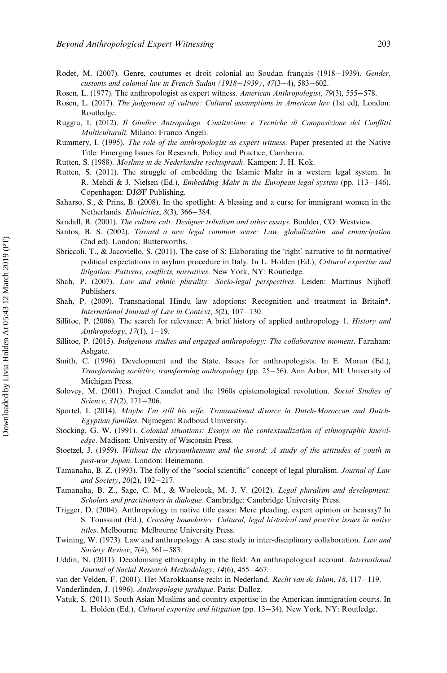- <span id="page-23-0"></span>Rodet, M. (2007). Genre, coutumes et droit colonial au Soudan français (1918–1939). Gender, customs and colonial law in French Sudan  $(1918–1939)$ ,  $47(3-4)$ , 583-602.
- Rosen, L. (1977). The anthropologist as expert witness. American Anthropologist, 79(3), 555–578.
- Rosen, L. (2017). The judgement of culture: Cultural assumptions in American law (1st ed), London: Routledge.
- Ruggiu, I. (2012). Il Giudice Antropologo. Costituzione e Tecniche di Composizione dei Conflitti Multiculturali. Milano: Franco Angeli.
- Rummery, I. (1995). The role of the anthropologist as expert witness. Paper presented at the Native Title: Emerging Issues for Research, Policy and Practice, Camberra.
- Rutten, S. (1988). Moslims in de Nederlandse rechtspraak. Kampen: J. H. Kok.
- Rutten, S. (2011). The struggle of embedding the Islamic Mahr in a western legal system. In R. Mehdi & J. Nielsen (Ed.), Embedding Mahr in the European legal system (pp. 113-146). Copenhagen: DJØF Publishing.
- Saharso, S., & Prins, B. (2008). In the spotlight: A blessing and a curse for immigrant women in the Netherlands. Ethnicities, 8(3), 366-384.
- Sandall, R. (2001). The culture cult: Designer tribalism and other essays. Boulder, CO: Westview.
- Santos, B. S. (2002). Toward a new legal common sense: Law, globalization, and emancipation (2nd ed). London: Butterworths.
- Sbriccoli, T., & Jacoviello, S. (2011). The case of S: Elaborating the 'right' narrative to fit normative/ political expectations in asylum procedure in Italy. In L. Holden (Ed.), Cultural expertise and litigation: Patterns, conflicts, narratives. New York, NY: Routledge.
- Shah, P. (2007). Law and ethnic plurality: Socio-legal perspectives. Leiden: Martinus Nijhoff Publishers.
- Shah, P. (2009). Transnational Hindu law adoptions: Recognition and treatment in Britain\*. International Journal of Law in Context,  $5(2)$ ,  $107-130$ .
- Sillitoe, P. (2006). The search for relevance: A brief history of applied anthropology 1. History and Anthropology,  $17(1)$ ,  $1-19$ .
- Sillitoe, P. (2015). *Indigenous studies and engaged anthropology: The collaborative moment*. Farnham: Ashgate.
- Smith, C. (1996). Development and the State. Issues for anthropologists. In E. Moran (Ed.), Transforming societies, transforming anthropology (pp. 25–56). Ann Arbor, MI: University of Michigan Press.
- Solovey, M. (2001). Project Camelot and the 1960s epistemological revolution. Social Studies of Science,  $31(2)$ ,  $171-206$ .
- Sportel, I. (2014). Maybe I'm still his wife. Transnational divorce in Dutch-Moroccan and Dutch-Egyptian families. Nijmegen: Radboud University.
- Stocking, G. W. (1991). Colonial situations: Essays on the contextualization of ethnographic knowledge. Madison: University of Wisconsin Press.
- Stoetzel, J. (1959). Without the chrysanthemum and the sword: A study of the attitudes of youth in post-war Japan. London: Heinemann.
- Tamanaha, B. Z. (1993). The folly of the "social scientific" concept of legal pluralism. Journal of Law and Society,  $20(2)$ ,  $192 - 217$ .
- Tamanaha, B. Z., Sage, C. M., & Woolcock, M. J. V. (2012). Legal pluralism and development: Scholars and practitioners in dialogue. Cambridge: Cambridge University Press.
- Trigger, D. (2004). Anthropology in native title cases: Mere pleading, expert opinion or hearsay? In S. Toussaint (Ed.), Crossing boundaries: Cultural, legal historical and practice issues in native titles. Melbourne: Melbourne University Press.
- Twining, W. (1973). Law and anthropology: A case study in inter-disciplinary collaboration. Law and Society Review, 7(4),  $561-583$ .
- Uddin, N. (2011). Decolonising ethnography in the field: An anthropological account. *International* Journal of Social Research Methodology, 14(6), 455-467.
- van der Velden, F. (2001). Het Marokkaanse recht in Nederland. Recht van de Islam, 18, 117-119. Vanderlinden, J. (1996). Anthropologie juridique. Paris: Dalloz.
- Vatuk, S. (2011). South Asian Muslims and country expertise in the American immigration courts. In L. Holden (Ed.), Cultural expertise and litigation (pp. 13–34). New York, NY: Routledge.